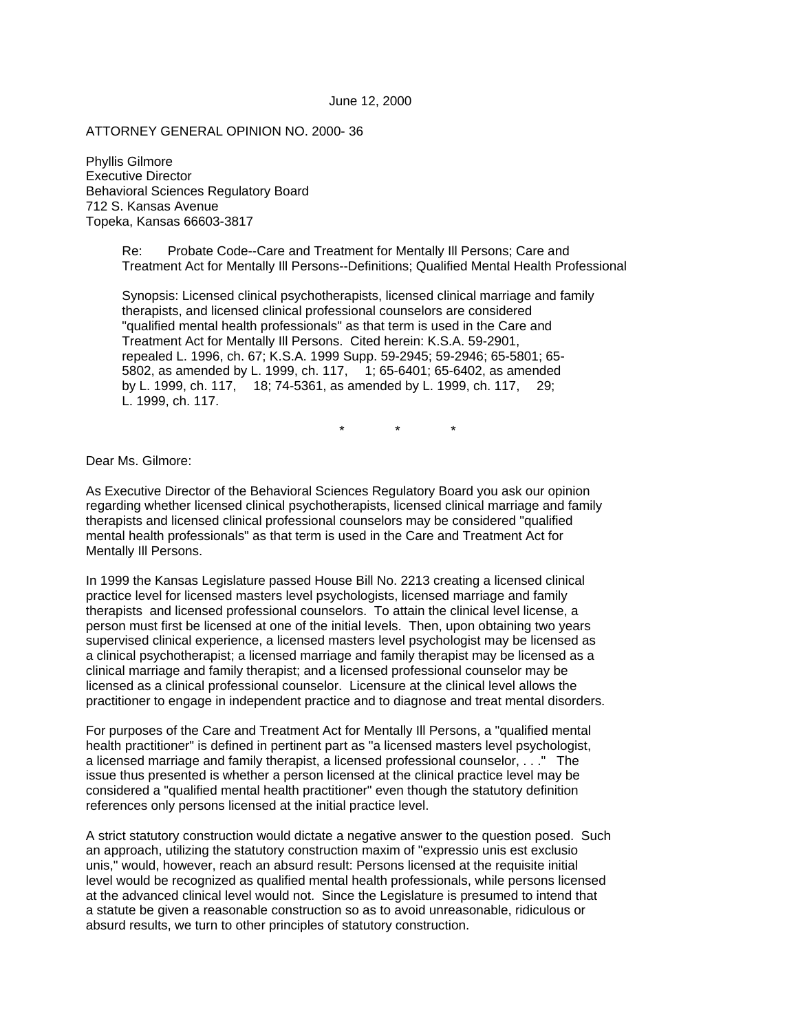ATTORNEY GENERAL OPINION NO. 2000- 36

Phyllis Gilmore Executive Director Behavioral Sciences Regulatory Board 712 S. Kansas Avenue Topeka, Kansas 66603-3817

> Re: Probate Code--Care and Treatment for Mentally Ill Persons; Care and Treatment Act for Mentally Ill Persons--Definitions; Qualified Mental Health Professional

 Synopsis: Licensed clinical psychotherapists, licensed clinical marriage and family therapists, and licensed clinical professional counselors are considered "qualified mental health professionals" as that term is used in the Care and Treatment Act for Mentally Ill Persons. Cited herein: K.S.A. 59-2901, repealed L. 1996, ch. 67; K.S.A. 1999 Supp. 59-2945; 59-2946; 65-5801; 65- 5802, as amended by L. 1999, ch. 117, 1; 65-6401; 65-6402, as amended by L. 1999, ch. 117, 18; 74-5361, as amended by L. 1999, ch. 117, 29; L. 1999, ch. 117.

\* \* \*

Dear Ms. Gilmore:

As Executive Director of the Behavioral Sciences Regulatory Board you ask our opinion regarding whether licensed clinical psychotherapists, licensed clinical marriage and family therapists and licensed clinical professional counselors may be considered "qualified mental health professionals" as that term is used in the Care and Treatment Act for Mentally Ill Persons.

In 1999 the Kansas Legislature passed House Bill No. 2213 creating a licensed clinical practice level for licensed masters level psychologists, licensed marriage and family therapists and licensed professional counselors. To attain the clinical level license, a person must first be licensed at one of the initial levels. Then, upon obtaining two years supervised clinical experience, a licensed masters level psychologist may be licensed as a clinical psychotherapist; a licensed marriage and family therapist may be licensed as a clinical marriage and family therapist; and a licensed professional counselor may be licensed as a clinical professional counselor. Licensure at the clinical level allows the practitioner to engage in independent practice and to diagnose and treat mental disorders.

For purposes of the Care and Treatment Act for Mentally Ill Persons, a "qualified mental health practitioner" is defined in pertinent part as "a licensed masters level psychologist, a licensed marriage and family therapist, a licensed professional counselor, . . ." The issue thus presented is whether a person licensed at the clinical practice level may be considered a "qualified mental health practitioner" even though the statutory definition references only persons licensed at the initial practice level.

A strict statutory construction would dictate a negative answer to the question posed. Such an approach, utilizing the statutory construction maxim of "expressio unis est exclusio unis," would, however, reach an absurd result: Persons licensed at the requisite initial level would be recognized as qualified mental health professionals, while persons licensed at the advanced clinical level would not. Since the Legislature is presumed to intend that a statute be given a reasonable construction so as to avoid unreasonable, ridiculous or absurd results, we turn to other principles of statutory construction.